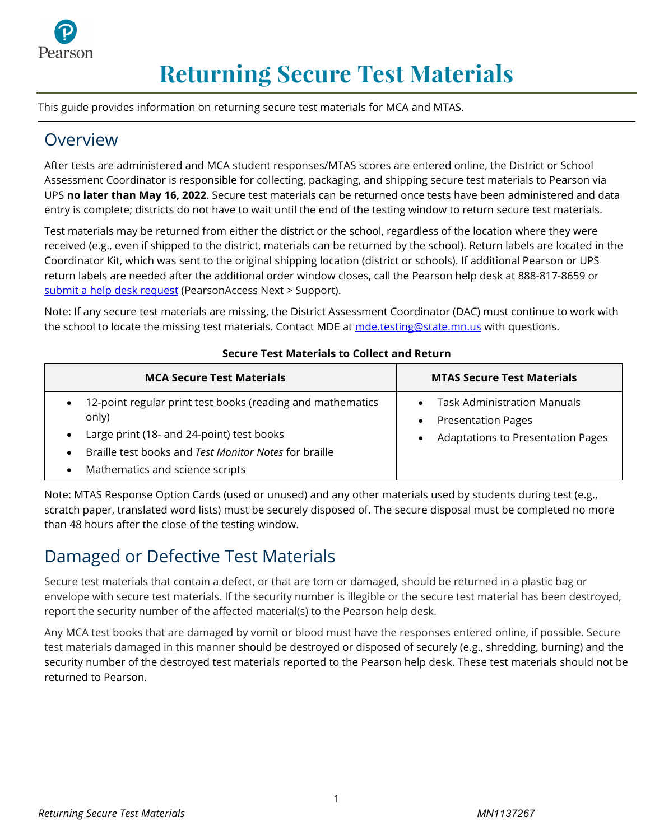

# **Returning Secure Test Materials**

This guide provides information on returning secure test materials for MCA and MTAS.

### Overview

After tests are administered and MCA student responses/MTAS scores are entered online, the District or School Assessment Coordinator is responsible for collecting, packaging, and shipping secure test materials to Pearson via UPS **no later than May 16, 2022**. Secure test materials can be returned once tests have been administered and data entry is complete; districts do not have to wait until the end of the testing window to return secure test materials.

Test materials may be returned from either the district or the school, regardless of the location where they were received (e.g., even if shipped to the district, materials can be returned by the school). Return labels are located in the Coordinator Kit, which was sent to the original shipping location (district or schools). If additional Pearson or UPS return labels are needed after the additional order window closes, call the Pearson help desk at 888-817-8659 or [submit a help desk request](http://download.pearsonaccessnext.com/ref/WebToCase.html?p=MINNESOTA) (PearsonAccess Next > Support).

Note: If any secure test materials are missing, the District Assessment Coordinator (DAC) must continue to work with the school to locate the missing test materials. Contact MDE a[t mde.testing@state.mn.us](mailto:mde.testing@state.mn.us) with questions.

| <b>MCA Secure Test Materials</b>                                                                                                                                                                                                         | <b>MTAS Secure Test Materials</b>                                                                                        |
|------------------------------------------------------------------------------------------------------------------------------------------------------------------------------------------------------------------------------------------|--------------------------------------------------------------------------------------------------------------------------|
| • 12-point regular print test books (reading and mathematics<br>only)<br>Large print (18- and 24-point) test books<br>$\bullet$<br>Braille test books and Test Monitor Notes for braille<br>Mathematics and science scripts<br>$\bullet$ | <b>Task Administration Manuals</b><br>$\bullet$<br><b>Presentation Pages</b><br><b>Adaptations to Presentation Pages</b> |

#### **Secure Test Materials to Collect and Return**

Note: MTAS Response Option Cards (used or unused) and any other materials used by students during test (e.g., scratch paper, translated word lists) must be securely disposed of. The secure disposal must be completed no more than 48 hours after the close of the testing window.

### Damaged or Defective Test Materials

Secure test materials that contain a defect, or that are torn or damaged, should be returned in a plastic bag or envelope with secure test materials. If the security number is illegible or the secure test material has been destroyed, report the security number of the affected material(s) to the Pearson help desk.

Any MCA test books that are damaged by vomit or blood must have the responses entered online, if possible. Secure test materials damaged in this manner should be destroyed or disposed of securely (e.g., shredding, burning) and the security number of the destroyed test materials reported to the Pearson help desk. These test materials should not be returned to Pearson.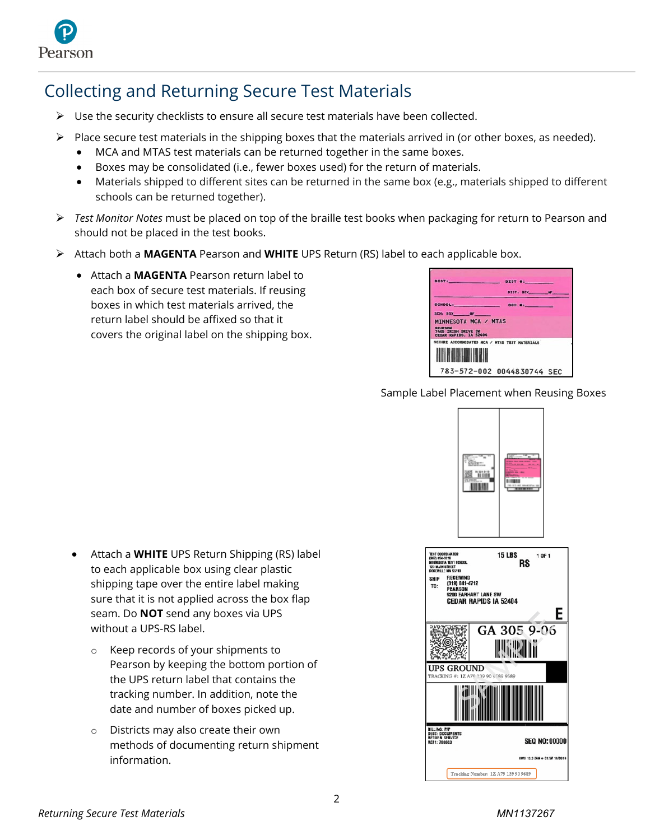

## Collecting and Returning Secure Test Materials

- $\triangleright$  Use the security checklists to ensure all secure test materials have been collected.
- $\triangleright$  Place secure test materials in the shipping boxes that the materials arrived in (or other boxes, as needed).
	- MCA and MTAS test materials can be returned together in the same boxes.
	- Boxes may be consolidated (i.e., fewer boxes used) for the return of materials.
	- Materials shipped to different sites can be returned in the same box (e.g., materials shipped to different schools can be returned together).
- *Test Monitor Notes* must be placed on top of the braille test books when packaging for return to Pearson and should not be placed in the test books.
- Attach both a **MAGENTA** Pearson and **WHITE** UPS Return (RS) label to each applicable box.
	- Attach a **MAGENTA** Pearson return label to each box of secure test materials. If reusing boxes in which test materials arrived, the return label should be affixed so that it covers the original label on the shipping box.

| DIST: DIST #:                                                          |              |  |
|------------------------------------------------------------------------|--------------|--|
|                                                                        | DIST: BOX OF |  |
| SCHOOL: SCH #:                                                         |              |  |
| SCH BOX OF THE                                                         |              |  |
| MINNESOTA MCA / MTAS                                                   |              |  |
| <b>PEARSON</b><br><b>7405 TRISH DRIVE SW</b><br>CEDAR RAPIDS, IA 52404 |              |  |
| SECURE ACCOMMODATED MCA / HTAS TEST MATERIALS                          |              |  |
|                                                                        |              |  |
|                                                                        |              |  |
| 783-572-002 0044830744 SEC                                             |              |  |

Sample Label Placement when Reusing Boxes

 $\overline{a}$ 



- Attach a **WHITE** UPS Return Shipping (RS) label to each applicable box using clear plastic shipping tape over the entire label making sure that it is not applied across the box flap seam. Do **NOT** send any boxes via UPS without a UPS-RS label.
	- o Keep records of your shipments to Pearson by keeping the bottom portion of the UPS return label that contains the tracking number. In addition, note the date and number of boxes picked up.
	- o Districts may also create their own methods of documenting return shipment information.